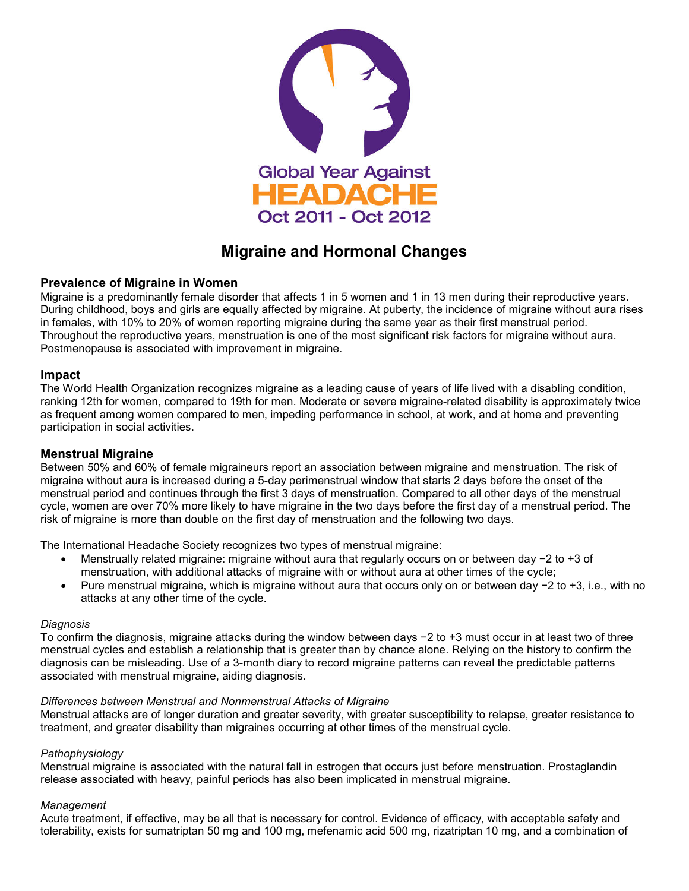

# **Migraine and Hormonal Changes**

## **Prevalence of Migraine in Women**

Migraine is a predominantly female disorder that affects 1 in 5 women and 1 in 13 men during their reproductive years. During childhood, boys and girls are equally affected by migraine. At puberty, the incidence of migraine without aura rises in females, with 10% to 20% of women reporting migraine during the same year as their first menstrual period. Throughout the reproductive years, menstruation is one of the most significant risk factors for migraine without aura. Postmenopause is associated with improvement in migraine.

#### **Impact**

The World Health Organization recognizes migraine as a leading cause of years of life lived with a disabling condition, ranking 12th for women, compared to 19th for men. Moderate or severe migraine-related disability is approximately twice as frequent among women compared to men, impeding performance in school, at work, and at home and preventing participation in social activities.

## **Menstrual Migraine**

Between 50% and 60% of female migraineurs report an association between migraine and menstruation. The risk of migraine without aura is increased during a 5-day perimenstrual window that starts 2 days before the onset of the menstrual period and continues through the first 3 days of menstruation. Compared to all other days of the menstrual cycle, women are over 70% more likely to have migraine in the two days before the first day of a menstrual period. The risk of migraine is more than double on the first day of menstruation and the following two days.

The International Headache Society recognizes two types of menstrual migraine:

- Menstrually related migraine: migraine without aura that regularly occurs on or between day −2 to +3 of menstruation, with additional attacks of migraine with or without aura at other times of the cycle;
- Pure menstrual migraine, which is migraine without aura that occurs only on or between day −2 to +3, i.e., with no attacks at any other time of the cycle.

#### *Diagnosis*

To confirm the diagnosis, migraine attacks during the window between days −2 to +3 must occur in at least two of three menstrual cycles and establish a relationship that is greater than by chance alone. Relying on the history to confirm the diagnosis can be misleading. Use of a 3-month diary to record migraine patterns can reveal the predictable patterns associated with menstrual migraine, aiding diagnosis.

#### *Differences between Menstrual and Nonmenstrual Attacks of Migraine*

Menstrual attacks are of longer duration and greater severity, with greater susceptibility to relapse, greater resistance to treatment, and greater disability than migraines occurring at other times of the menstrual cycle.

#### *Pathophysiology*

Menstrual migraine is associated with the natural fall in estrogen that occurs just before menstruation. Prostaglandin release associated with heavy, painful periods has also been implicated in menstrual migraine.

#### *Management*

Acute treatment, if effective, may be all that is necessary for control. Evidence of efficacy, with acceptable safety and tolerability, exists for sumatriptan 50 mg and 100 mg, mefenamic acid 500 mg, rizatriptan 10 mg, and a combination of